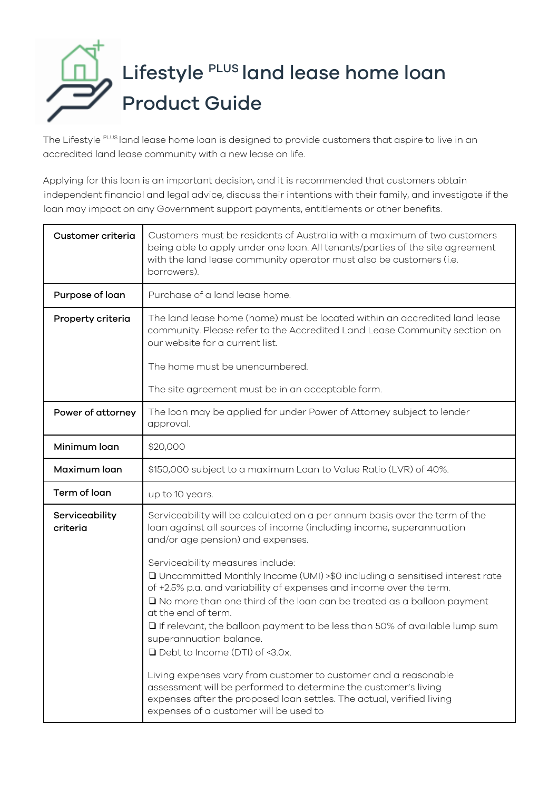## Lifestyle PLUS land lease home loan Product Guide

The Lifestyle PLUS land lease home loan is designed to provide customers that aspire to live in an accredited land lease community with a new lease on life.

Applying for this loan is an important decision, and it is recommended that customers obtain independent financial and legal advice, discuss their intentions with their family, and investigate if the loan may impact on any Government support payments, entitlements or other benefits.

| Customer criteria          | Customers must be residents of Australia with a maximum of two customers<br>being able to apply under one loan. All tenants/parties of the site agreement<br>with the land lease community operator must also be customers (i.e.<br>borrowers).                                                                                                                                                                                                                                                                                                                                                                                                                                                                                                                                                                                                                                                     |
|----------------------------|-----------------------------------------------------------------------------------------------------------------------------------------------------------------------------------------------------------------------------------------------------------------------------------------------------------------------------------------------------------------------------------------------------------------------------------------------------------------------------------------------------------------------------------------------------------------------------------------------------------------------------------------------------------------------------------------------------------------------------------------------------------------------------------------------------------------------------------------------------------------------------------------------------|
| Purpose of loan            | Purchase of a land lease home.                                                                                                                                                                                                                                                                                                                                                                                                                                                                                                                                                                                                                                                                                                                                                                                                                                                                      |
| Property criteria          | The land lease home (home) must be located within an accredited land lease<br>community. Please refer to the Accredited Land Lease Community section on<br>our website for a current list.                                                                                                                                                                                                                                                                                                                                                                                                                                                                                                                                                                                                                                                                                                          |
|                            | The home must be unencumbered.                                                                                                                                                                                                                                                                                                                                                                                                                                                                                                                                                                                                                                                                                                                                                                                                                                                                      |
|                            | The site agreement must be in an acceptable form.                                                                                                                                                                                                                                                                                                                                                                                                                                                                                                                                                                                                                                                                                                                                                                                                                                                   |
| Power of attorney          | The loan may be applied for under Power of Attorney subject to lender<br>approval.                                                                                                                                                                                                                                                                                                                                                                                                                                                                                                                                                                                                                                                                                                                                                                                                                  |
| Minimum loan               | \$20,000                                                                                                                                                                                                                                                                                                                                                                                                                                                                                                                                                                                                                                                                                                                                                                                                                                                                                            |
| Maximum loan               | \$150,000 subject to a maximum Loan to Value Ratio (LVR) of 40%.                                                                                                                                                                                                                                                                                                                                                                                                                                                                                                                                                                                                                                                                                                                                                                                                                                    |
| Term of loan               | up to 10 years.                                                                                                                                                                                                                                                                                                                                                                                                                                                                                                                                                                                                                                                                                                                                                                                                                                                                                     |
| Serviceability<br>criteria | Serviceability will be calculated on a per annum basis over the term of the<br>loan against all sources of income (including income, superannuation<br>and/or age pension) and expenses.<br>Serviceability measures include:<br>□ Uncommitted Monthly Income (UMI) >\$0 including a sensitised interest rate<br>of +2.5% p.a. and variability of expenses and income over the term.<br>□ No more than one third of the loan can be treated as a balloon payment<br>at the end of term.<br>$\Box$ If relevant, the balloon payment to be less than 50% of available lump sum<br>superannuation balance.<br>□ Debt to Income (DTI) of <3.0x.<br>Living expenses vary from customer to customer and a reasonable<br>assessment will be performed to determine the customer's living<br>expenses after the proposed loan settles. The actual, verified living<br>expenses of a customer will be used to |